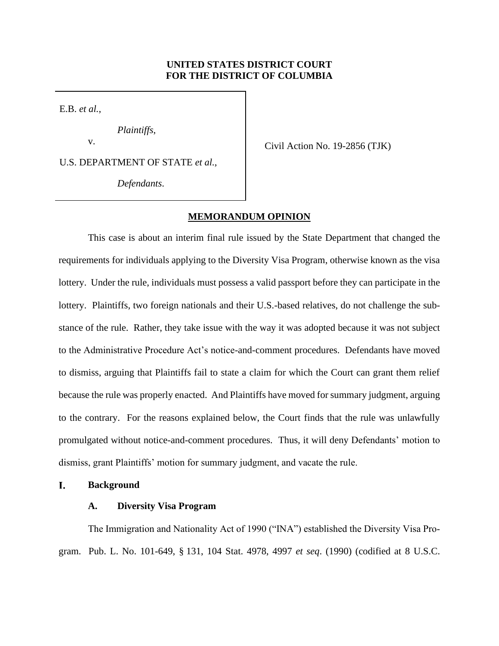# **UNITED STATES DISTRICT COURT FOR THE DISTRICT OF COLUMBIA**

E.B. *et al.*,

*Plaintiffs*,

U.S. DEPARTMENT OF STATE *et al.*,

*Defendants*.

v.<br>
Civil Action No. 19-2856 (TJK)

## **MEMORANDUM OPINION**

 requirements for individuals applying to the Diversity Visa Program, otherwise known as the visa lottery. Under the rule, individuals must possess a valid passport before they can participate in the lottery. Plaintiffs, two foreign nationals and their U.S.-based relatives, do not challenge the sub- stance of the rule. Rather, they take issue with the way it was adopted because it was not subject to the Administrative Procedure Act's notice-and-comment procedures. Defendants have moved to dismiss, arguing that Plaintiffs fail to state a claim for which the Court can grant them relief because the rule was properly enacted. And Plaintiffs have moved for summary judgment, arguing to the contrary. For the reasons explained below, the Court finds that the rule was unlawfully promulgated without notice-and-comment procedures. Thus, it will deny Defendants' motion to This case is about an interim final rule issued by the State Department that changed the dismiss, grant Plaintiffs' motion for summary judgment, and vacate the rule.

#### I. **Background**

# **A. Diversity Visa Program**

The Immigration and Nationality Act of 1990 ("INA") established the Diversity Visa Program. Pub. L. No. 101-649, § 131, 104 Stat. 4978, 4997 *et seq*. (1990) (codified at 8 U.S.C.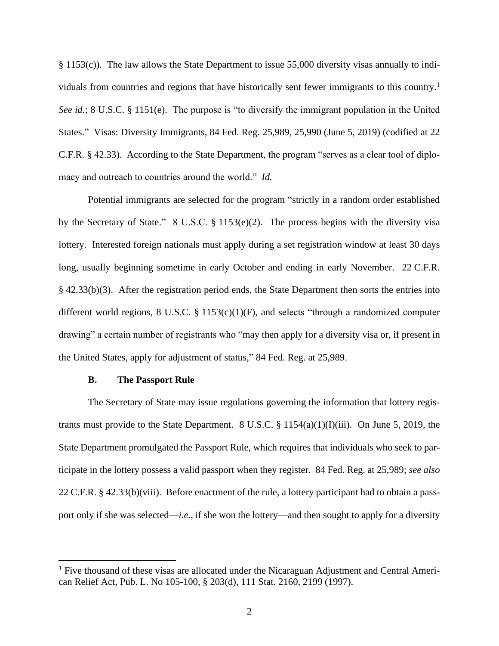§ 1153(c)). The law allows the State Department to issue 55,000 diversity visas annually to individuals from countries and regions that have historically sent fewer immigrants to this country.<sup>1</sup> *See id.*; 8 U.S.C. § 1151(e). The purpose is "to diversify the immigrant population in the United macy and outreach to countries around the world." *Id.*  States." Visas: Diversity Immigrants, 84 Fed. Reg. 25,989, 25,990 (June 5, 2019) (codified at 22 C.F.R. § 42.33). According to the State Department, the program "serves as a clear tool of diplo-

 Potential immigrants are selected for the program "strictly in a random order established by the Secretary of State." 8 U.S.C. § 1153(e)(2). The process begins with the diversity visa drawing" a certain number of registrants who "may then apply for a diversity visa or, if present in lottery. Interested foreign nationals must apply during a set registration window at least 30 days long, usually beginning sometime in early October and ending in early November. 22 C.F.R. § 42.33(b)(3). After the registration period ends, the State Department then sorts the entries into different world regions, 8 U.S.C. § 1153(c)(1)(F), and selects "through a randomized computer the United States, apply for adjustment of status," 84 Fed. Reg. at 25,989.

### **B. The Passport Rule**

 The Secretary of State may issue regulations governing the information that lottery registrants must provide to the State Department. 8 U.S.C.  $\S 1154(a)(1)(I)(iii)$ . On June 5, 2019, the 22 C.F.R. § 42.33(b)(viii). Before enactment of the rule, a lottery participant had to obtain a pass- port only if she was selected—*i.e.*, if she won the lottery—and then sought to apply for a diversity State Department promulgated the Passport Rule, which requires that individuals who seek to participate in the lottery possess a valid passport when they register. 84 Fed. Reg. at 25,989; *see also* 

 $<sup>1</sup>$  Five thousand of these visas are allocated under the Nicaraguan Adjustment and Central Ameri-</sup> can Relief Act, Pub. L. No 105-100, § 203(d), 111 Stat. 2160, 2199 (1997).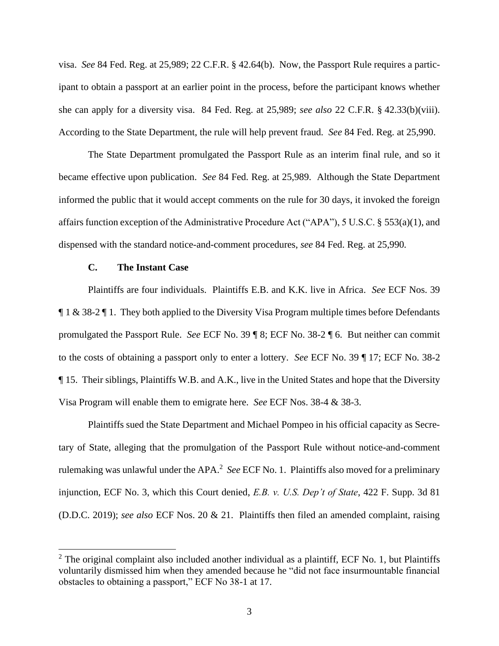visa. *See* 84 Fed. Reg. at 25,989; 22 C.F.R. § 42.64(b). Now, the Passport Rule requires a partic- ipant to obtain a passport at an earlier point in the process, before the participant knows whether she can apply for a diversity visa. 84 Fed. Reg. at 25,989; *see also* 22 C.F.R. § 42.33(b)(viii). According to the State Department, the rule will help prevent fraud. *See* 84 Fed. Reg. at 25,990.

 The State Department promulgated the Passport Rule as an interim final rule, and so it became effective upon publication. *See* 84 Fed. Reg. at 25,989. Although the State Department informed the public that it would accept comments on the rule for 30 days, it invoked the foreign affairs function exception of the Administrative Procedure Act ("APA"), 5 U.S.C. § 553(a)(1), and dispensed with the standard notice-and-comment procedures, *see* 84 Fed. Reg. at 25,990*.* 

# **C. The Instant Case**

 Plaintiffs are four individuals. Plaintiffs E.B. and K.K. live in Africa. *See* ECF Nos. 39  $\P$  1 & 38-2  $\P$  1. They both applied to the Diversity Visa Program multiple times before Defendants promulgated the Passport Rule. *See* ECF No. 39 ¶ 8; ECF No. 38-2 ¶ 6. But neither can commit to the costs of obtaining a passport only to enter a lottery. *See* ECF No. 39 ¶ 17; ECF No. 38-2 ¶ 15. Their siblings, Plaintiffs W.B. and A.K., live in the United States and hope that the Diversity Visa Program will enable them to emigrate here. *See* ECF Nos. 38-4 & 38-3.

 rulemaking was unlawful under the APA.<sup>2</sup>*See* ECF No. 1. Plaintiffs also moved for a preliminary injunction, ECF No. 3, which this Court denied, *E.B. v. U.S. Dep't of State*, 422 F. Supp. 3d 81 Plaintiffs sued the State Department and Michael Pompeo in his official capacity as Secretary of State, alleging that the promulgation of the Passport Rule without notice-and-comment (D.D.C. 2019); *see also* ECF Nos. 20 & 21. Plaintiffs then filed an amended complaint, raising

 voluntarily dismissed him when they amended because he "did not face insurmountable financial  $2$  The original complaint also included another individual as a plaintiff, ECF No. 1, but Plaintiffs obstacles to obtaining a passport," ECF No 38-1 at 17.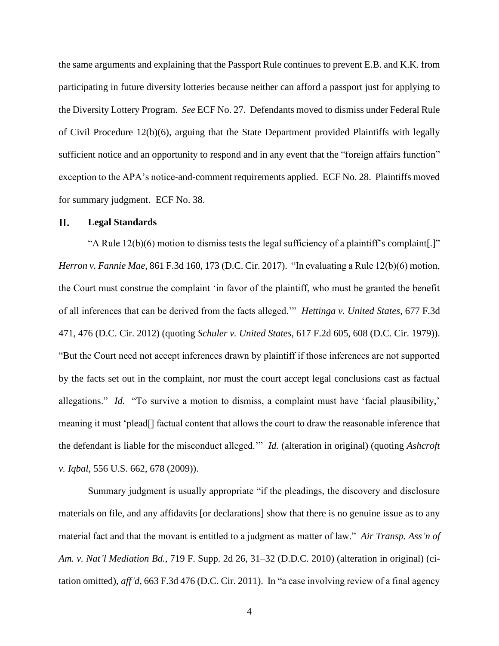the Diversity Lottery Program. *See* ECF No. 27. Defendants moved to dismiss under Federal Rule exception to the APA's notice-and-comment requirements applied. ECF No. 28. Plaintiffs moved the same arguments and explaining that the Passport Rule continues to prevent E.B. and K.K. from participating in future diversity lotteries because neither can afford a passport just for applying to of Civil Procedure 12(b)(6), arguing that the State Department provided Plaintiffs with legally sufficient notice and an opportunity to respond and in any event that the "foreign affairs function" for summary judgment. ECF No. 38.

#### II. **Legal Standards**

"A Rule  $12(b)(6)$  motion to dismiss tests the legal sufficiency of a plaintiff's complaint[.]" the Court must construe the complaint 'in favor of the plaintiff, who must be granted the benefit by the facts set out in the complaint, nor must the court accept legal conclusions cast as factual allegations." *Id.* "To survive a motion to dismiss, a complaint must have 'facial plausibility,' meaning it must 'plead[] factual content that allows the court to draw the reasonable inference that *Herron v. Fannie Mae*, 861 F.3d 160, 173 (D.C. Cir. 2017). "In evaluating a Rule 12(b)(6) motion, of all inferences that can be derived from the facts alleged.'" *Hettinga v. United States*, 677 F.3d 471, 476 (D.C. Cir. 2012) (quoting *Schuler v. United States*, 617 F.2d 605, 608 (D.C. Cir. 1979)). "But the Court need not accept inferences drawn by plaintiff if those inferences are not supported the defendant is liable for the misconduct alleged.'" *Id.* (alteration in original) (quoting *Ashcroft v. Iqbal*, 556 U.S. 662, 678 (2009)).

 tation omitted), *aff'd*, 663 F.3d 476 (D.C. Cir. 2011). In "a case involving review of a final agency Summary judgment is usually appropriate "if the pleadings, the discovery and disclosure materials on file, and any affidavits [or declarations] show that there is no genuine issue as to any material fact and that the movant is entitled to a judgment as matter of law." *Air Transp. Ass'n of Am. v. Nat'l Mediation Bd.*, 719 F. Supp. 2d 26, 31–32 (D.D.C. 2010) (alteration in original) (ci-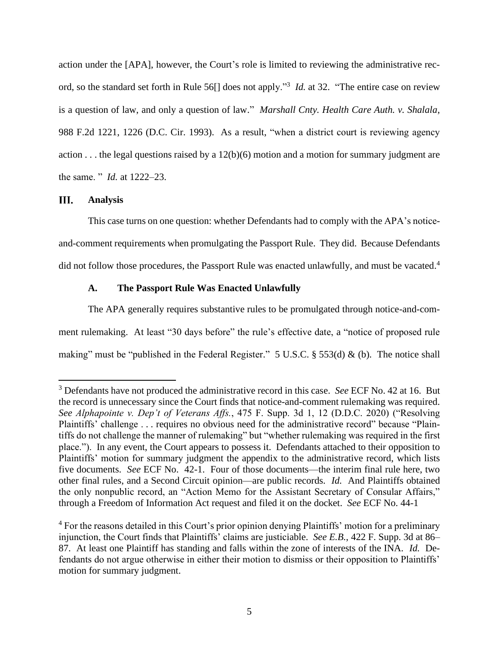ord, so the standard set forth in Rule 56[] does not apply."3 *Id.* at 32. "The entire case on review is a question of law, and only a question of law." *Marshall Cnty. Health Care Auth. v. Shalala*, 988 F.2d 1221, 1226 (D.C. Cir. 1993). As a result, "when a district court is reviewing agency action . . . the legal questions raised by a 12(b)(6) motion and a motion for summary judgment are action under the [APA], however, the Court's role is limited to reviewing the administrative recthe same. " *Id.* at 1222–23.

#### III. **Analysis**

 and-comment requirements when promulgating the Passport Rule. They did. Because Defendants did not follow those procedures, the Passport Rule was enacted unlawfully, and must be vacated.<sup>4</sup> This case turns on one question: whether Defendants had to comply with the APA's notice-

# **A. The Passport Rule Was Enacted Unlawfully**

 The APA generally requires substantive rules to be promulgated through notice-and-com- ment rulemaking. At least "30 days before" the rule's effective date, a "notice of proposed rule making" must be "published in the Federal Register." 5 U.S.C. § 553(d) & (b). The notice shall

 3 Defendants have not produced the administrative record in this case. *See* ECF No. 42 at 16. But the record is unnecessary since the Court finds that notice-and-comment rulemaking was required. *See Alphapointe v. Dep't of Veterans Affs.*, 475 F. Supp. 3d 1, 12 (D.D.C. 2020) ("Resolving Plaintiffs' challenge . . . requires no obvious need for the administrative record" because "Plain- place."). In any event, the Court appears to possess it. Defendants attached to their opposition to five documents. *See* ECF No. 42-1. Four of those documents—the interim final rule here, two other final rules, and a Second Circuit opinion—are public records. *Id.* And Plaintiffs obtained through a Freedom of Information Act request and filed it on the docket. *See* ECF No. 44-1 tiffs do not challenge the manner of rulemaking" but "whether rulemaking was required in the first Plaintiffs' motion for summary judgment the appendix to the administrative record, which lists the only nonpublic record, an "Action Memo for the Assistant Secretary of Consular Affairs,"

<sup>&</sup>lt;sup>4</sup> For the reasons detailed in this Court's prior opinion denying Plaintiffs' motion for a preliminary 87. At least one Plaintiff has standing and falls within the zone of interests of the INA. *Id.* De- fendants do not argue otherwise in either their motion to dismiss or their opposition to Plaintiffs' injunction, the Court finds that Plaintiffs' claims are justiciable. *See E.B.*, 422 F. Supp. 3d at 86– motion for summary judgment.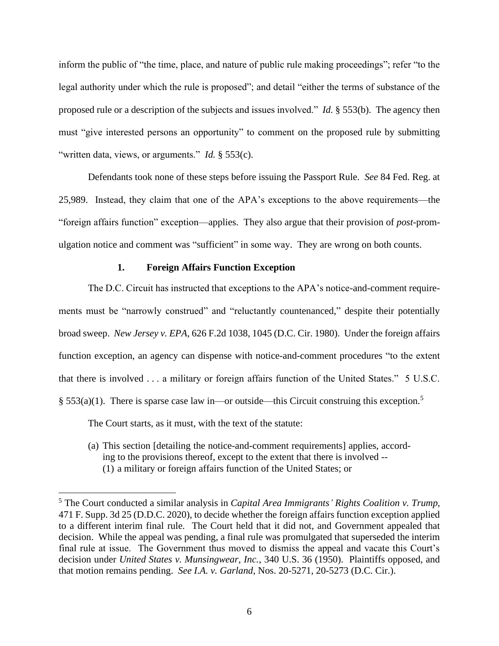legal authority under which the rule is proposed"; and detail "either the terms of substance of the proposed rule or a description of the subjects and issues involved." *Id.* § 553(b). The agency then inform the public of "the time, place, and nature of public rule making proceedings"; refer "to the must "give interested persons an opportunity" to comment on the proposed rule by submitting "written data, views, or arguments." *Id.* § 553(c).

 25,989. Instead, they claim that one of the APA's exceptions to the above requirements—the "foreign affairs function" exception—applies. They also argue that their provision of *post*-prom-Defendants took none of these steps before issuing the Passport Rule. *See* 84 Fed. Reg. at ulgation notice and comment was "sufficient" in some way. They are wrong on both counts.

# **1. Foreign Affairs Function Exception**

 The D.C. Circuit has instructed that exceptions to the APA's notice-and-comment require- ments must be "narrowly construed" and "reluctantly countenanced," despite their potentially  broad sweep. *New Jersey v. EPA*, 626 F.2d 1038, 1045 (D.C. Cir. 1980). Under the foreign affairs function exception, an agency can dispense with notice-and-comment procedures "to the extent that there is involved . . . a military or foreign affairs function of the United States." 5 U.S.C. § 553(a)(1). There is sparse case law in—or outside—this Circuit construing this exception.<sup>5</sup>

The Court starts, as it must, with the text of the statute:

(a) This section [detailing the notice-and-comment requirements] applies, according to the provisions thereof, except to the extent that there is involved -- (1) a military or foreign affairs function of the United States; or

 to a different interim final rule. The Court held that it did not, and Government appealed that decision. While the appeal was pending, a final rule was promulgated that superseded the interim final rule at issue. The Government thus moved to dismiss the appeal and vacate this Court's 5 The Court conducted a similar analysis in *Capital Area Immigrants' Rights Coalition v. Trump*, 471 F. Supp. 3d 25 (D.D.C. 2020), to decide whether the foreign affairs function exception applied decision under *United States v. Munsingwear, Inc.*, 340 U.S. 36 (1950). Plaintiffs opposed, and that motion remains pending. *See I.A. v. Garland*, Nos. 20-5271, 20-5273 (D.C. Cir.).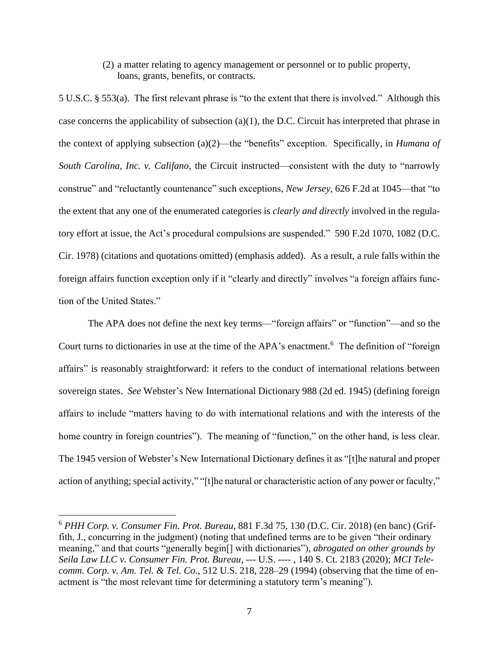(2) a matter relating to agency management or personnel or to public property, loans, grants, benefits, or contracts.

 5 U.S.C. § 553(a). The first relevant phrase is "to the extent that there is involved." Although this the extent that any one of the enumerated categories is *clearly and directly* involved in the regula- tory effort at issue, the Act's procedural compulsions are suspended." 590 F.2d 1070, 1082 (D.C. Cir. 1978) (citations and quotations omitted) (emphasis added). As a result, a rule falls within the case concerns the applicability of subsection (a)(1), the D.C. Circuit has interpreted that phrase in the context of applying subsection (a)(2)—the "benefits" exception. Specifically, in *Humana of South Carolina, Inc. v. Califano*, the Circuit instructed—consistent with the duty to "narrowly construe" and "reluctantly countenance" such exceptions, *New Jersey*, 626 F.2d at 1045—that "to foreign affairs function exception only if it "clearly and directly" involves "a foreign affairs function of the United States."

 affairs" is reasonably straightforward: it refers to the conduct of international relations between affairs to include "matters having to do with international relations and with the interests of the home country in foreign countries"). The meaning of "function," on the other hand, is less clear. The 1945 version of Webster's New International Dictionary defines it as "[t]he natural and proper action of anything; special activity," "[t]he natural or characteristic action of any power or faculty," The APA does not define the next key terms—"foreign affairs" or "function"—and so the Court turns to dictionaries in use at the time of the APA's enactment.<sup>6</sup> The definition of "foreign sovereign states. *See* Webster's New International Dictionary 988 (2d ed. 1945) (defining foreign

<sup>6</sup>*PHH Corp. v. Consumer Fin. Prot. Bureau*, 881 F.3d 75, 130 (D.C. Cir. 2018) (en banc) (Griffith, J., concurring in the judgment) (noting that undefined terms are to be given "their ordinary meaning," and that courts "generally begin[] with dictionaries"), *abrogated on other grounds by Seila Law LLC v. Consumer Fin. Prot. Bureau*, --- U.S. ---- , 140 S. Ct. 2183 (2020); *MCI Telecomm. Corp. v. Am. Tel. & Tel. Co.*, 512 U.S. 218, 228–29 (1994) (observing that the time of enactment is "the most relevant time for determining a statutory term's meaning").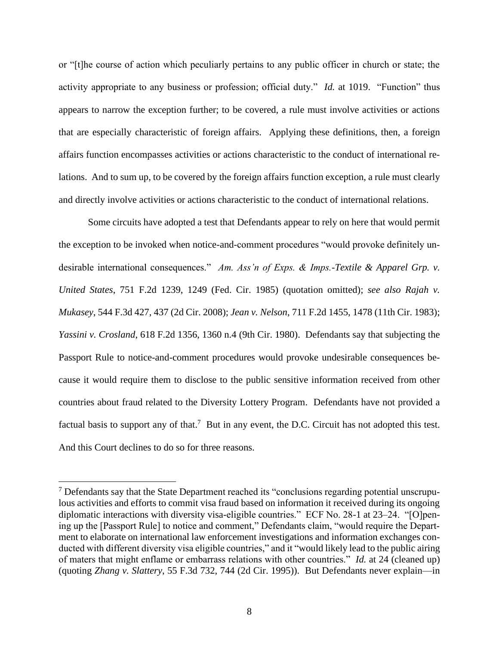or "[t]he course of action which peculiarly pertains to any public officer in church or state; the activity appropriate to any business or profession; official duty." *Id.* at 1019. "Function" thus appears to narrow the exception further; to be covered, a rule must involve activities or actions lations. And to sum up, to be covered by the foreign affairs function exception, a rule must clearly that are especially characteristic of foreign affairs. Applying these definitions, then, a foreign affairs function encompasses activities or actions characteristic to the conduct of international reand directly involve activities or actions characteristic to the conduct of international relations.

 Some circuits have adopted a test that Defendants appear to rely on here that would permit desirable international consequences." *Am. Ass'n of Exps. & Imps.-Textile & Apparel Grp. v.*  cause it would require them to disclose to the public sensitive information received from other countries about fraud related to the Diversity Lottery Program. Defendants have not provided a factual basis to support any of that.<sup>7</sup> But in any event, the D.C. Circuit has not adopted this test. the exception to be invoked when notice-and-comment procedures "would provoke definitely un-*United States*, 751 F.2d 1239, 1249 (Fed. Cir. 1985) (quotation omitted); *see also Rajah v. Mukasey*, 544 F.3d 427, 437 (2d Cir. 2008); *Jean v. Nelson*, 711 F.2d 1455, 1478 (11th Cir. 1983); *Yassini v. Crosland*, 618 F.2d 1356, 1360 n.4 (9th Cir. 1980). Defendants say that subjecting the Passport Rule to notice-and-comment procedures would provoke undesirable consequences be-And this Court declines to do so for three reasons.

 lous activities and efforts to commit visa fraud based on information it received during its ongoing ment to elaborate on international law enforcement investigations and information exchanges con- ducted with different diversity visa eligible countries," and it "would likely lead to the public airing of maters that might enflame or embarrass relations with other countries." *Id.* at 24 (cleaned up) (quoting *Zhang v. Slattery*, 55 F.3d 732, 744 (2d Cir. 1995)). But Defendants never explain—in  $7$  Defendants say that the State Department reached its "conclusions regarding potential unscrupudiplomatic interactions with diversity visa-eligible countries." ECF No. 28-1 at 23–24. "[O]pening up the [Passport Rule] to notice and comment," Defendants claim, "would require the Depart-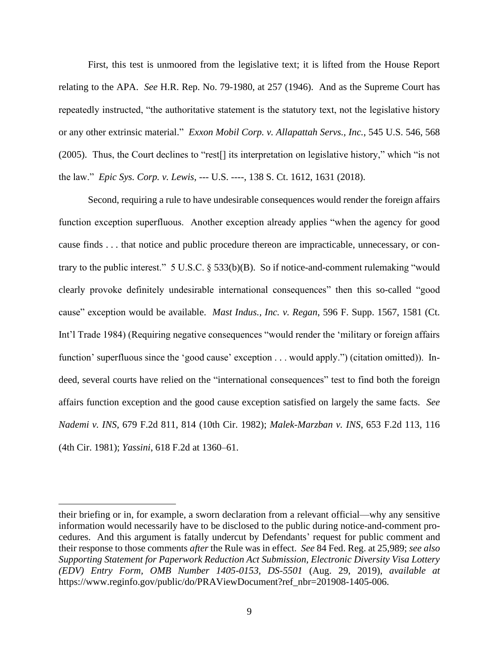First, this test is unmoored from the legislative text; it is lifted from the House Report relating to the APA. *See* H.R. Rep. No. 79-1980, at 257 (1946). And as the Supreme Court has repeatedly instructed, "the authoritative statement is the statutory text, not the legislative history or any other extrinsic material." *Exxon Mobil Corp. v. Allapattah Servs., Inc.*, 545 U.S. 546, 568 (2005). Thus, the Court declines to "rest[] its interpretation on legislative history," which "is not the law." *Epic Sys. Corp. v. Lewis*, --- U.S. ----, 138 S. Ct. 1612, 1631 (2018).

 cause finds . . . that notice and public procedure thereon are impracticable, unnecessary, or con- trary to the public interest." 5 U.S.C. § 533(b)(B). So if notice-and-comment rulemaking "would clearly provoke definitely undesirable international consequences" then this so-called "good cause" exception would be available. *Mast Indus., Inc. v. Regan*, 596 F. Supp. 1567, 1581 (Ct. deed, several courts have relied on the "international consequences" test to find both the foreign affairs function exception and the good cause exception satisfied on largely the same facts. *See Nademi v. INS*, 679 F.2d 811, 814 (10th Cir. 1982); *Malek-Marzban v. INS*, 653 F.2d 113, 116 Second, requiring a rule to have undesirable consequences would render the foreign affairs function exception superfluous. Another exception already applies "when the agency for good Int'l Trade 1984) (Requiring negative consequences "would render the 'military or foreign affairs function' superfluous since the 'good cause' exception . . . would apply.") (citation omitted)). In-(4th Cir. 1981); *Yassini*, 618 F.2d at 1360–61.

 their briefing or in, for example, a sworn declaration from a relevant official—why any sensitive their response to those comments *after* the Rule was in effect. *See* 84 Fed. Reg. at 25,989; *see also*  information would necessarily have to be disclosed to the public during notice-and-comment procedures. And this argument is fatally undercut by Defendants' request for public comment and *Supporting Statement for Paperwork Reduction Act Submission, Electronic Diversity Visa Lottery (EDV) Entry Form, OMB Number 1405-0153, DS-5501* (Aug. 29, 2019), *available at*  https://www.reginfo.gov/public/do/PRAViewDocument?ref\_nbr=201908-1405-006.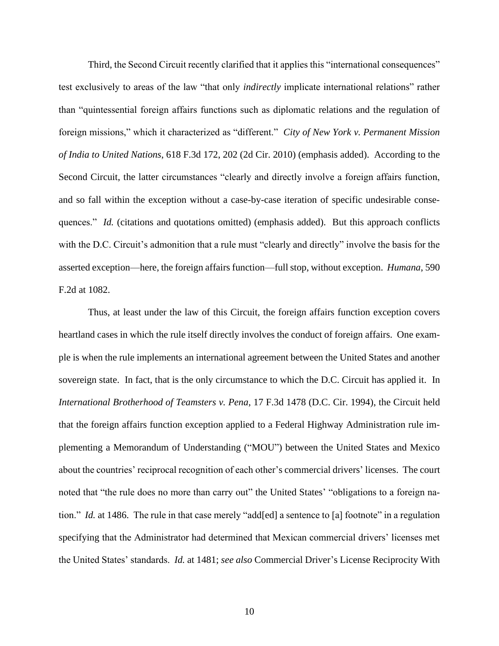test exclusively to areas of the law "that only *indirectly* implicate international relations" rather foreign missions," which it characterized as "different." *City of New York v. Permanent Mission*  Second Circuit, the latter circumstances "clearly and directly involve a foreign affairs function, and so fall within the exception without a case-by-case iteration of specific undesirable consequences." *Id.* (citations and quotations omitted) (emphasis added). But this approach conflicts with the D.C. Circuit's admonition that a rule must "clearly and directly" involve the basis for the asserted exception—here, the foreign affairs function—full stop, without exception. *Humana*, 590 Third, the Second Circuit recently clarified that it applies this "international consequences" than "quintessential foreign affairs functions such as diplomatic relations and the regulation of *of India to United Nations*, 618 F.3d 172, 202 (2d Cir. 2010) (emphasis added). According to the F.2d at 1082.

 sovereign state. In fact, that is the only circumstance to which the D.C. Circuit has applied it. In *International Brotherhood of Teamsters v. Pena*, 17 F.3d 1478 (D.C. Cir. 1994), the Circuit held that the foreign affairs function exception applied to a Federal Highway Administration rule im- tion." *Id.* at 1486. The rule in that case merely "add[ed] a sentence to [a] footnote" in a regulation specifying that the Administrator had determined that Mexican commercial drivers' licenses met Thus, at least under the law of this Circuit, the foreign affairs function exception covers heartland cases in which the rule itself directly involves the conduct of foreign affairs. One example is when the rule implements an international agreement between the United States and another plementing a Memorandum of Understanding ("MOU") between the United States and Mexico about the countries' reciprocal recognition of each other's commercial drivers' licenses. The court noted that "the rule does no more than carry out" the United States' "obligations to a foreign nathe United States' standards. *Id.* at 1481; *see also* Commercial Driver's License Reciprocity With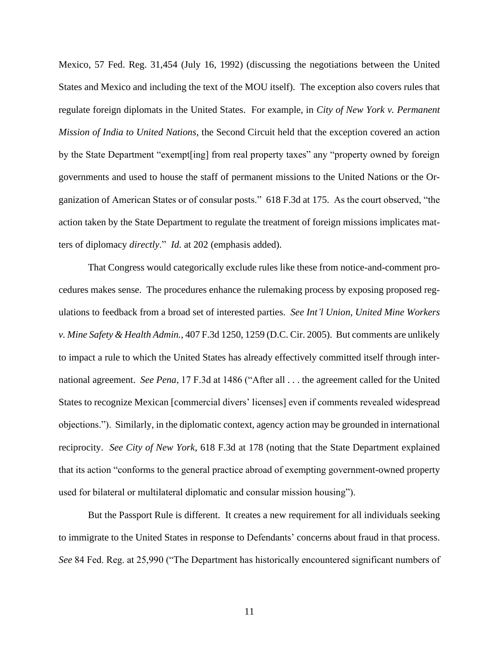Mexico, 57 Fed. Reg. 31,454 (July 16, 1992) (discussing the negotiations between the United  regulate foreign diplomats in the United States. For example, in *City of New York v. Permanent Mission of India to United Nations*, the Second Circuit held that the exception covered an action governments and used to house the staff of permanent missions to the United Nations or the Or-States and Mexico and including the text of the MOU itself). The exception also covers rules that by the State Department "exempt[ing] from real property taxes" any "property owned by foreign ganization of American States or of consular posts." 618 F.3d at 175. As the court observed, "the action taken by the State Department to regulate the treatment of foreign missions implicates matters of diplomacy *directly*." *Id.* at 202 (emphasis added).

 cedures makes sense. The procedures enhance the rulemaking process by exposing proposed reg- *v. Mine Safety & Health Admin.*, 407 F.3d 1250, 1259 (D.C. Cir. 2005). But comments are unlikely to impact a rule to which the United States has already effectively committed itself through inter- national agreement. *See Pena*, 17 F.3d at 1486 ("After all . . . the agreement called for the United objections."). Similarly, in the diplomatic context, agency action may be grounded in international  reciprocity. *See City of New York*, 618 F.3d at 178 (noting that the State Department explained That Congress would categorically exclude rules like these from notice-and-comment proulations to feedback from a broad set of interested parties. *See Int'l Union, United Mine Workers*  States to recognize Mexican [commercial divers' licenses] even if comments revealed widespread that its action "conforms to the general practice abroad of exempting government-owned property used for bilateral or multilateral diplomatic and consular mission housing").

 to immigrate to the United States in response to Defendants' concerns about fraud in that process. But the Passport Rule is different. It creates a new requirement for all individuals seeking *See* 84 Fed. Reg. at 25,990 ("The Department has historically encountered significant numbers of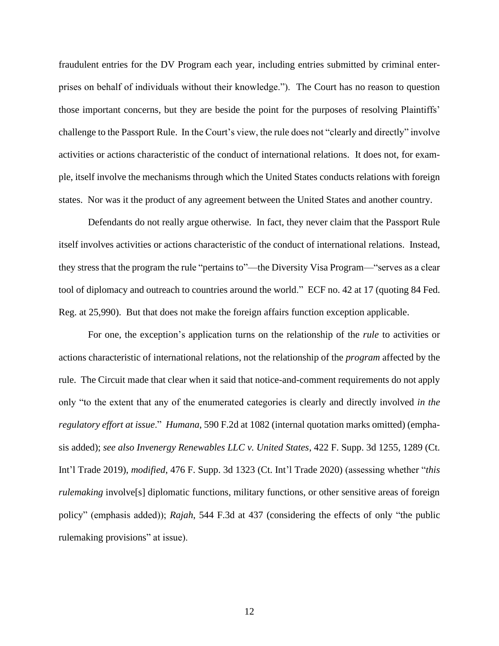fraudulent entries for the DV Program each year, including entries submitted by criminal enter- prises on behalf of individuals without their knowledge."). The Court has no reason to question those important concerns, but they are beside the point for the purposes of resolving Plaintiffs' challenge to the Passport Rule. In the Court's view, the rule does not "clearly and directly" involve activities or actions characteristic of the conduct of international relations. It does not, for example, itself involve the mechanisms through which the United States conducts relations with foreign states. Nor was it the product of any agreement between the United States and another country.

 itself involves activities or actions characteristic of the conduct of international relations. Instead, they stress that the program the rule "pertains to"—the Diversity Visa Program—"serves as a clear tool of diplomacy and outreach to countries around the world." ECF no. 42 at 17 (quoting 84 Fed. Reg. at 25,990). But that does not make the foreign affairs function exception applicable. Defendants do not really argue otherwise. In fact, they never claim that the Passport Rule

 For one, the exception's application turns on the relationship of the *rule* to activities or rule. The Circuit made that clear when it said that notice-and-comment requirements do not apply *regulatory effort at issue*." *Humana*, 590 F.2d at 1082 (internal quotation marks omitted) (emphaactions characteristic of international relations, not the relationship of the *program* affected by the only "to the extent that any of the enumerated categories is clearly and directly involved *in the*  sis added); *see also Invenergy Renewables LLC v. United States*, 422 F. Supp. 3d 1255, 1289 (Ct. Int'l Trade 2019), *modified*, 476 F. Supp. 3d 1323 (Ct. Int'l Trade 2020) (assessing whether "*this rulemaking* involve[s] diplomatic functions, military functions, or other sensitive areas of foreign policy" (emphasis added)); *Rajah*, 544 F.3d at 437 (considering the effects of only "the public rulemaking provisions" at issue).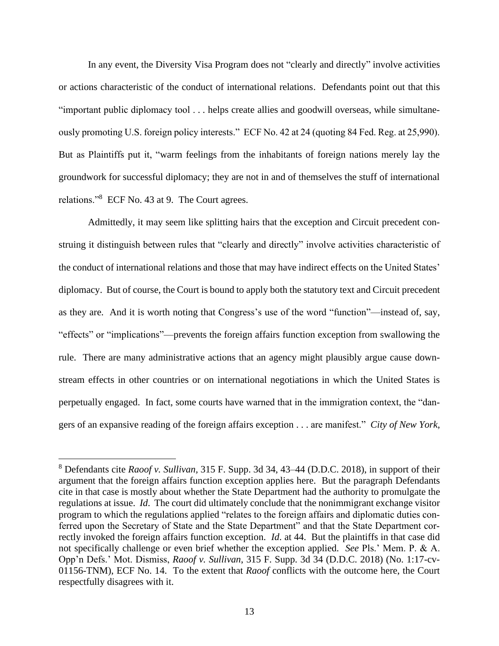or actions characteristic of the conduct of international relations. Defendants point out that this ously promoting U.S. foreign policy interests." ECF No. 42 at 24 (quoting 84 Fed. Reg. at 25,990). relations."<sup>8</sup> ECF No. 43 at 9. The Court agrees. In any event, the Diversity Visa Program does not "clearly and directly" involve activities "important public diplomacy tool . . . helps create allies and goodwill overseas, while simultane-But as Plaintiffs put it, "warm feelings from the inhabitants of foreign nations merely lay the groundwork for successful diplomacy; they are not in and of themselves the stuff of international

 struing it distinguish between rules that "clearly and directly" involve activities characteristic of diplomacy. But of course, the Court is bound to apply both the statutory text and Circuit precedent rule. There are many administrative actions that an agency might plausibly argue cause down-Admittedly, it may seem like splitting hairs that the exception and Circuit precedent conthe conduct of international relations and those that may have indirect effects on the United States' as they are. And it is worth noting that Congress's use of the word "function"—instead of, say, "effects" or "implications"—prevents the foreign affairs function exception from swallowing the stream effects in other countries or on international negotiations in which the United States is perpetually engaged. In fact, some courts have warned that in the immigration context, the "dangers of an expansive reading of the foreign affairs exception . . . are manifest." *City of New York*,

 8 Defendants cite *Raoof v. Sullivan,* 315 F. Supp. 3d 34, 43–44 (D.D.C. 2018), in support of their argument that the foreign affairs function exception applies here. But the paragraph Defendants regulations at issue. *Id*. The court did ultimately conclude that the nonimmigrant exchange visitor not specifically challenge or even brief whether the exception applied. *See* Pls.' Mem. P. & A. 01156-TNM), ECF No. 14. To the extent that *Raoof* conflicts with the outcome here, the Court cite in that case is mostly about whether the State Department had the authority to promulgate the program to which the regulations applied "relates to the foreign affairs and diplomatic duties conferred upon the Secretary of State and the State Department" and that the State Department correctly invoked the foreign affairs function exception. *Id*. at 44. But the plaintiffs in that case did Opp'n Defs.' Mot. Dismiss, *Raoof v. Sullivan*, 315 F. Supp. 3d 34 (D.D.C. 2018) (No. 1:17-cvrespectfully disagrees with it.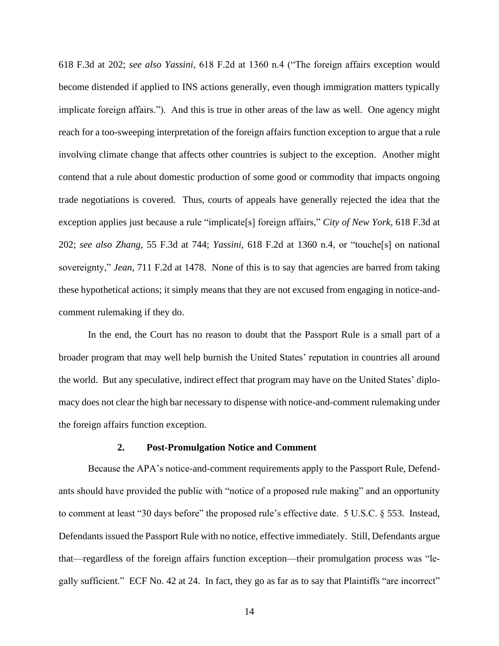reach for a too-sweeping interpretation of the foreign affairs function exception to argue that a rule involving climate change that affects other countries is subject to the exception. Another might trade negotiations is covered. Thus, courts of appeals have generally rejected the idea that the exception applies just because a rule "implicate[s] foreign affairs," *City of New York*, 618 F.3d at sovereignty," *Jean*, 711 F.2d at 1478. None of this is to say that agencies are barred from taking 618 F.3d at 202; *see also Yassini*, 618 F.2d at 1360 n.4 ("The foreign affairs exception would become distended if applied to INS actions generally, even though immigration matters typically implicate foreign affairs."). And this is true in other areas of the law as well. One agency might contend that a rule about domestic production of some good or commodity that impacts ongoing 202; *see also Zhang*, 55 F.3d at 744; *Yassini*, 618 F.2d at 1360 n.4, or "touche[s] on national these hypothetical actions; it simply means that they are not excused from engaging in notice-andcomment rulemaking if they do.

 broader program that may well help burnish the United States' reputation in countries all around macy does not clear the high bar necessary to dispense with notice-and-comment rulemaking under In the end, the Court has no reason to doubt that the Passport Rule is a small part of a the world. But any speculative, indirect effect that program may have on the United States' diplothe foreign affairs function exception.

# **2. Post-Promulgation Notice and Comment**

 ants should have provided the public with "notice of a proposed rule making" and an opportunity to comment at least "30 days before" the proposed rule's effective date. 5 U.S.C. § 553. Instead, gally sufficient." ECF No. 42 at 24. In fact, they go as far as to say that Plaintiffs "are incorrect" Because the APA's notice-and-comment requirements apply to the Passport Rule, Defend-Defendants issued the Passport Rule with no notice, effective immediately. Still, Defendants argue that—regardless of the foreign affairs function exception—their promulgation process was "le-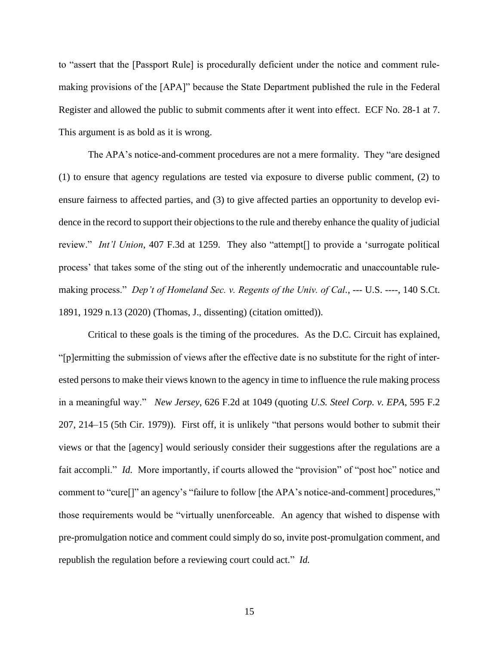making provisions of the [APA]" because the State Department published the rule in the Federal Register and allowed the public to submit comments after it went into effect. ECF No. 28-1 at 7. to "assert that the [Passport Rule] is procedurally deficient under the notice and comment rule-This argument is as bold as it is wrong.

 The APA's notice-and-comment procedures are not a mere formality. They "are designed (1) to ensure that agency regulations are tested via exposure to diverse public comment, (2) to ensure fairness to affected parties, and (3) to give affected parties an opportunity to develop evi- dence in the record to support their objections to the rule and thereby enhance the quality of judicial review." *Int'l Union*, 407 F.3d at 1259. They also "attempt[] to provide a 'surrogate political making process." *Dep't of Homeland Sec. v. Regents of the Univ. of Cal.*, --- U.S. ----, 140 S.Ct. 1891, 1929 n.13 (2020) (Thomas, J., dissenting) (citation omitted)). 1891, 1929 n.13 (2020) (Thomas, J., dissenting) (citation omitted)).<br>Critical to these goals is the timing of the procedures. As the D.C. Circuit has explained, process' that takes some of the sting out of the inherently undemocratic and unaccountable rule-

 "[p]ermitting the submission of views after the effective date is no substitute for the right of inter- ested persons to make their views known to the agency in time to influence the rule making process in a meaningful way." *New Jersey*, 626 F.2d at 1049 (quoting *U.S. Steel Corp. v. EPA*, 595 F.2 207, 214–15 (5th Cir. 1979)). First off, it is unlikely "that persons would bother to submit their views or that the [agency] would seriously consider their suggestions after the regulations are a fait accompli." *Id.* More importantly, if courts allowed the "provision" of "post hoc" notice and comment to "cure[]" an agency's "failure to follow [the APA's notice-and-comment] procedures," those requirements would be "virtually unenforceable. An agency that wished to dispense with republish the regulation before a reviewing court could act." *Id.*  pre-promulgation notice and comment could simply do so, invite post-promulgation comment, and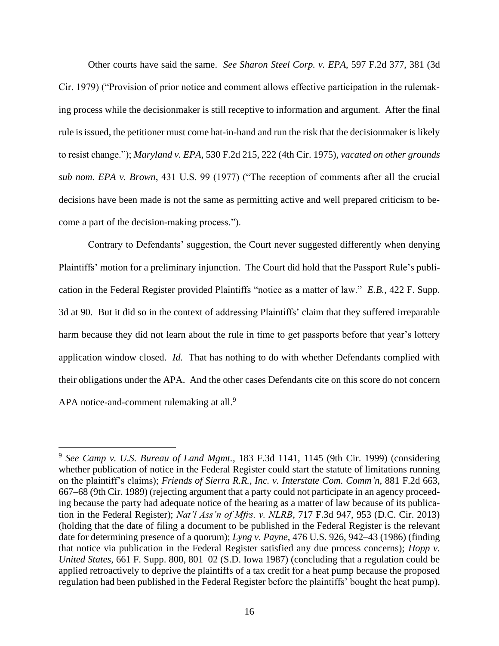Other courts have said the same. *See Sharon Steel Corp. v. EPA*, 597 F.2d 377, 381 (3d Cir. 1979) ("Provision of prior notice and comment allows effective participation in the rulemak- ing process while the decisionmaker is still receptive to information and argument. After the final rule is issued, the petitioner must come hat-in-hand and run the risk that the decisionmaker is likely *sub nom. EPA v. Brown*, 431 U.S. 99 (1977) ("The reception of comments after all the crucial decisions have been made is not the same as permitting active and well prepared criticism to beto resist change."); *Maryland v. EPA*, 530 F.2d 215, 222 (4th Cir. 1975), *vacated on other grounds*  come a part of the decision-making process.").

 Plaintiffs' motion for a preliminary injunction. The Court did hold that the Passport Rule's publi- cation in the Federal Register provided Plaintiffs "notice as a matter of law." *E.B.*, 422 F. Supp. 3d at 90. But it did so in the context of addressing Plaintiffs' claim that they suffered irreparable harm because they did not learn about the rule in time to get passports before that year's lottery application window closed. *Id.* That has nothing to do with whether Defendants complied with their obligations under the APA. And the other cases Defendants cite on this score do not concern Contrary to Defendants' suggestion, the Court never suggested differently when denying APA notice-and-comment rulemaking at all.<sup>9</sup>

 <sup>9</sup>*See Camp v. U.S. Bureau of Land Mgmt.*, 183 F.3d 1141, 1145 (9th Cir. 1999) (considering whether publication of notice in the Federal Register could start the statute of limitations running (holding that the date of filing a document to be published in the Federal Register is the relevant date for determining presence of a quorum); *Lyng v. Payne*, 476 U.S. 926, 942–43 (1986) (finding *United States*, 661 F. Supp. 800, 801–02 (S.D. Iowa 1987) (concluding that a regulation could be on the plaintiff's claims); *Friends of Sierra R.R., Inc. v. Interstate Com. Comm'n*, 881 F.2d 663, 667–68 (9th Cir. 1989) (rejecting argument that a party could not participate in an agency proceeding because the party had adequate notice of the hearing as a matter of law because of its publication in the Federal Register); *Nat'l Ass'n of Mfrs. v. NLRB*, 717 F.3d 947, 953 (D.C. Cir. 2013) that notice via publication in the Federal Register satisfied any due process concerns); *Hopp v.*  applied retroactively to deprive the plaintiffs of a tax credit for a heat pump because the proposed regulation had been published in the Federal Register before the plaintiffs' bought the heat pump).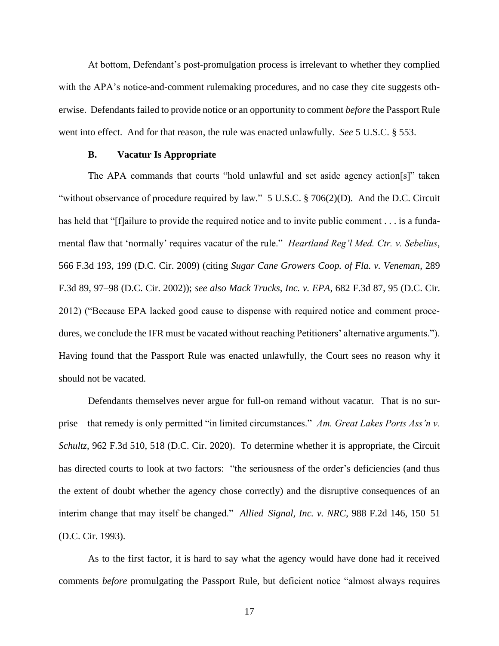with the APA's notice-and-comment rulemaking procedures, and no case they cite suggests oth- erwise. Defendants failed to provide notice or an opportunity to comment *before* the Passport Rule At bottom, Defendant's post-promulgation process is irrelevant to whether they complied went into effect. And for that reason, the rule was enacted unlawfully. *See* 5 U.S.C. § 553.

# **B. Vacatur Is Appropriate**

 The APA commands that courts "hold unlawful and set aside agency action[s]" taken "without observance of procedure required by law."  $5 \text{ U.S.C.}$   $\frac{2}{9} \cdot 706(2)(D)$ . And the D.C. Circuit mental flaw that 'normally' requires vacatur of the rule." *Heartland Reg'l Med. Ctr. v. Sebelius*,  566 F.3d 193, 199 (D.C. Cir. 2009) (citing *Sugar Cane Growers Coop. of Fla. v. Veneman*, 289  F.3d 89, 97–98 (D.C. Cir. 2002)); *see also Mack Trucks, Inc. v. EPA*, 682 F.3d 87, 95 (D.C. Cir. 2012) ("Because EPA lacked good cause to dispense with required notice and comment proce- dures, we conclude the IFR must be vacated without reaching Petitioners' alternative arguments."). has held that "[f]ailure to provide the required notice and to invite public comment . . . is a funda-Having found that the Passport Rule was enacted unlawfully, the Court sees no reason why it should not be vacated.

 Defendants themselves never argue for full-on remand without vacatur. That is no sur- prise—that remedy is only permitted "in limited circumstances." *Am. Great Lakes Ports Ass'n v. Schultz*, 962 F.3d 510, 518 (D.C. Cir. 2020). To determine whether it is appropriate, the Circuit interim change that may itself be changed." *Allied–Signal, Inc. v. NRC*, 988 F.2d 146, 150–51 has directed courts to look at two factors: "the seriousness of the order's deficiencies (and thus the extent of doubt whether the agency chose correctly) and the disruptive consequences of an (D.C. Cir. 1993).

 As to the first factor, it is hard to say what the agency would have done had it received comments *before* promulgating the Passport Rule, but deficient notice "almost always requires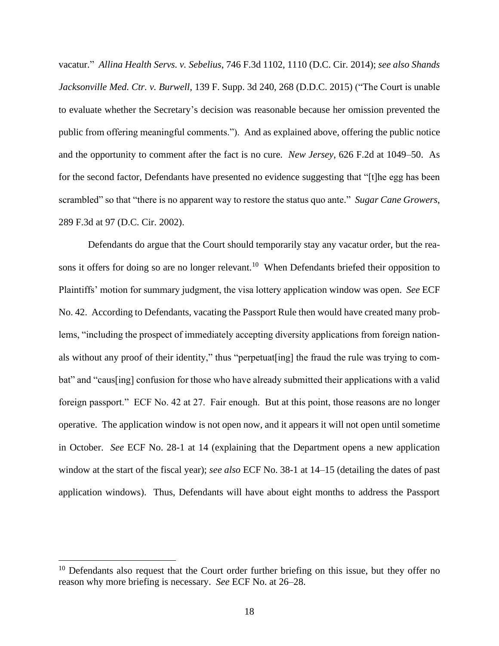vacatur." *Allina Health Servs. v. Sebelius*, 746 F.3d 1102, 1110 (D.C. Cir. 2014); *see also Shands Jacksonville Med. Ctr. v. Burwell*, 139 F. Supp. 3d 240, 268 (D.D.C. 2015) ("The Court is unable to evaluate whether the Secretary's decision was reasonable because her omission prevented the public from offering meaningful comments."). And as explained above, offering the public notice and the opportunity to comment after the fact is no cure. *New Jersey*, 626 F.2d at 1049–50. As for the second factor, Defendants have presented no evidence suggesting that "[t]he egg has been scrambled" so that "there is no apparent way to restore the status quo ante." *Sugar Cane Growers*, 289 F.3d at 97 (D.C. Cir. 2002).

sons it offers for doing so are no longer relevant.<sup>10</sup> When Defendants briefed their opposition to No. 42. According to Defendants, vacating the Passport Rule then would have created many prob- als without any proof of their identity," thus "perpetuat[ing] the fraud the rule was trying to com- bat" and "caus[ing] confusion for those who have already submitted their applications with a valid foreign passport." ECF No. 42 at 27. Fair enough. But at this point, those reasons are no longer operative. The application window is not open now, and it appears it will not open until sometime application windows). Thus, Defendants will have about eight months to address the Passport Defendants do argue that the Court should temporarily stay any vacatur order, but the rea-Plaintiffs' motion for summary judgment, the visa lottery application window was open. *See* ECF lems, "including the prospect of immediately accepting diversity applications from foreign nationin October. *See* ECF No. 28-1 at 14 (explaining that the Department opens a new application window at the start of the fiscal year); *see also* ECF No. 38-1 at 14–15 (detailing the dates of past

 reason why more briefing is necessary. *See* ECF No. at 26–28.  $10$  Defendants also request that the Court order further briefing on this issue, but they offer no